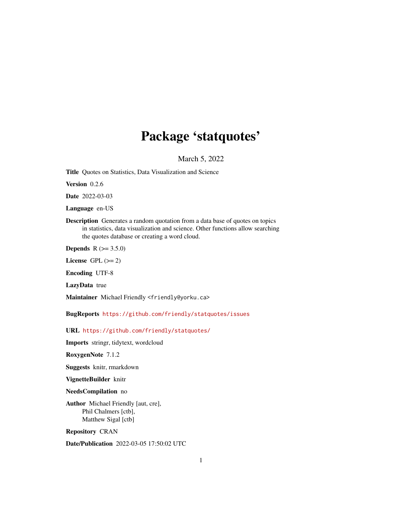## Package 'statquotes'

March 5, 2022

<span id="page-0-0"></span>Title Quotes on Statistics, Data Visualization and Science

Version 0.2.6

Date 2022-03-03

Language en-US

Description Generates a random quotation from a data base of quotes on topics in statistics, data visualization and science. Other functions allow searching the quotes database or creating a word cloud.

**Depends** R  $(>= 3.5.0)$ 

License GPL  $(>= 2)$ 

Encoding UTF-8

LazyData true

Maintainer Michael Friendly <friendly@yorku.ca>

BugReports <https://github.com/friendly/statquotes/issues>

URL <https://github.com/friendly/statquotes/>

Imports stringr, tidytext, wordcloud

RoxygenNote 7.1.2

Suggests knitr, rmarkdown

VignetteBuilder knitr

NeedsCompilation no

Author Michael Friendly [aut, cre], Phil Chalmers [ctb], Matthew Sigal [ctb]

Repository CRAN

Date/Publication 2022-03-05 17:50:02 UTC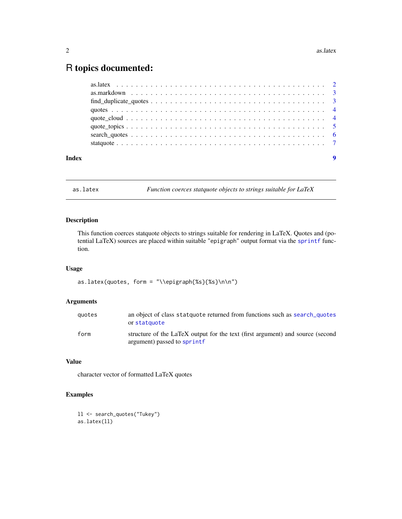### <span id="page-1-0"></span>R topics documented:

| Index | $\boldsymbol{Q}$ |  |
|-------|------------------|--|
|       |                  |  |

as.latex *Function coerces statquote objects to strings suitable for LaTeX*

#### Description

This function coerces statquote objects to strings suitable for rendering in LaTeX. Quotes and (potential LaTeX) sources are placed within suitable "epigraph" output format via the [sprintf](#page-0-0) function.

#### Usage

as.latex(quotes, form = "\\epigraph{%s}{%s}\n\n")

#### Arguments

| quotes | an object of class statquote returned from functions such as search quotes<br>or statquote                    |
|--------|---------------------------------------------------------------------------------------------------------------|
| form   | structure of the LaTeX output for the text (first argument) and source (second<br>argument) passed to sprintf |

#### Value

character vector of formatted LaTeX quotes

#### Examples

```
ll <- search_quotes("Tukey")
as.latex(ll)
```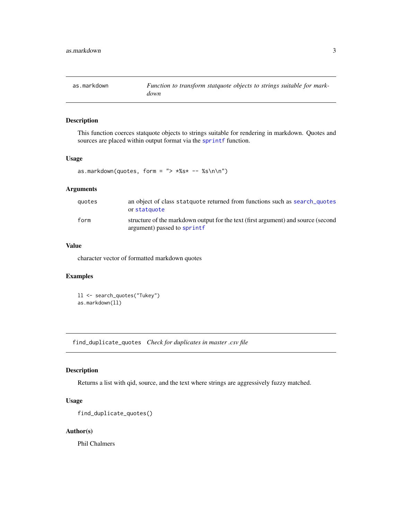<span id="page-2-0"></span>

#### Description

This function coerces statquote objects to strings suitable for rendering in markdown. Quotes and sources are placed within output format via the [sprintf](#page-0-0) function.

#### Usage

as.markdown(quotes, form =  $"> **S* - -$  %s\n\n")

#### Arguments

| quotes | an object of class state up teturned from functions such as search quotes<br>or statquote                        |
|--------|------------------------------------------------------------------------------------------------------------------|
| form   | structure of the markdown output for the text (first argument) and source (second<br>argument) passed to sprintf |

#### Value

character vector of formatted markdown quotes

#### Examples

```
ll <- search_quotes("Tukey")
as.markdown(ll)
```
find\_duplicate\_quotes *Check for duplicates in master .csv file*

#### Description

Returns a list with qid, source, and the text where strings are aggressively fuzzy matched.

#### Usage

```
find_duplicate_quotes()
```
#### Author(s)

Phil Chalmers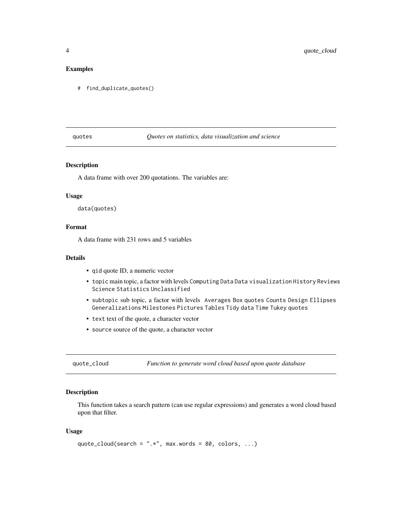#### <span id="page-3-0"></span>Examples

```
# find_duplicate_quotes()
```
<span id="page-3-1"></span>quotes *Quotes on statistics, data visualization and science*

#### Description

A data frame with over 200 quotations. The variables are:

#### Usage

data(quotes)

#### Format

A data frame with 231 rows and 5 variables

#### Details

- qid quote ID, a numeric vector
- topic main topic, a factor with levels Computing Data Data visualization History Reviews Science Statistics Unclassified
- subtopic sub topic, a factor with levels Averages Box quotes Counts Design Ellipses Generalizations Milestones Pictures Tables Tidy data Time Tukey quotes
- text text of the quote, a character vector
- source source of the quote, a character vector

quote\_cloud *Function to generate word cloud based upon quote database*

#### Description

This function takes a search pattern (can use regular expressions) and generates a word cloud based upon that filter.

#### Usage

```
quote_cloud(search = ".*", max.words = 80, colors, ...)
```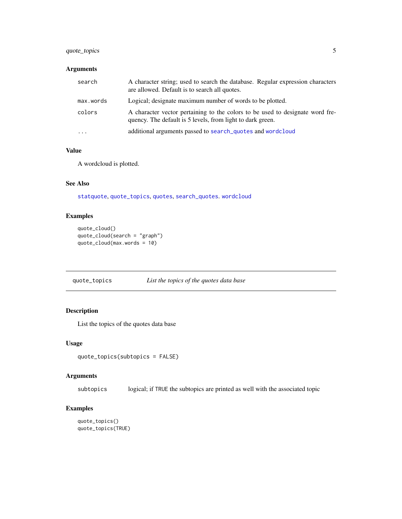#### <span id="page-4-0"></span>quote\_topics 5

#### Arguments

| search                  | A character string; used to search the database. Regular expression characters<br>are allowed. Default is to search all quotes.             |
|-------------------------|---------------------------------------------------------------------------------------------------------------------------------------------|
| max.words               | Logical; designate maximum number of words to be plotted.                                                                                   |
| colors                  | A character vector pertaining to the colors to be used to designate word fre-<br>quency. The default is 5 levels, from light to dark green. |
| $\cdot$ $\cdot$ $\cdot$ | additional arguments passed to search quotes and wordcloud                                                                                  |

#### Value

A wordcloud is plotted.

#### See Also

[statquote](#page-6-1), [quote\\_topics](#page-4-1), [quotes](#page-3-1), [search\\_quotes](#page-5-1). [wordcloud](#page-0-0)

#### Examples

```
quote_cloud()
quote_cloud(search = "graph")
quote_cloud(max.words = 10)
```
<span id="page-4-1"></span>quote\_topics *List the topics of the quotes data base*

#### Description

List the topics of the quotes data base

#### Usage

quote\_topics(subtopics = FALSE)

#### Arguments

subtopics logical; if TRUE the subtopics are printed as well with the associated topic

#### Examples

```
quote_topics()
quote_topics(TRUE)
```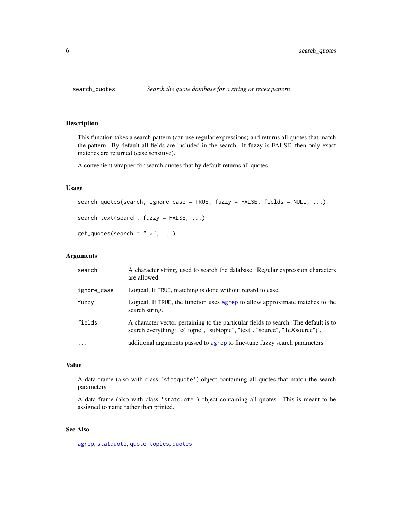#### Description

This function takes a search pattern (can use regular expressions) and returns all quotes that match the pattern. By default all fields are included in the search. If fuzzy is FALSE, then only exact matches are returned (case sensitive).

A convenient wrapper for search quotes that by default returns all quotes

#### Usage

```
search_quotes(search, ignore_case = TRUE, fuzzy = FALSE, fields = NULL, ...)
search_text(search, fuzzy = FALSE, ...)
get\_quotes(search = ".*", ...)
```
#### Arguments

| search      | A character string, used to search the database. Regular expression characters<br>are allowed.                                                                     |
|-------------|--------------------------------------------------------------------------------------------------------------------------------------------------------------------|
| ignore_case | Logical; If TRUE, matching is done without regard to case.                                                                                                         |
| fuzzy       | Logical; If TRUE, the function uses agrep to allow approximate matches to the<br>search string.                                                                    |
| fields      | A character vector pertaining to the particular fields to search. The default is to<br>search everything: 'c("topic", "subtopic", "text", "source", "TeXsource")'. |
| $\ddotsc$   | additional arguments passed to agrep to fine-tune fuzzy search parameters.                                                                                         |

#### Value

A data frame (also with class 'statquote') object containing all quotes that match the search parameters.

A data frame (also with class 'statquote') object containing all quotes. This is meant to be assigned to name rather than printed.

#### See Also

[agrep](#page-0-0), [statquote](#page-6-1), [quote\\_topics](#page-4-1), [quotes](#page-3-1)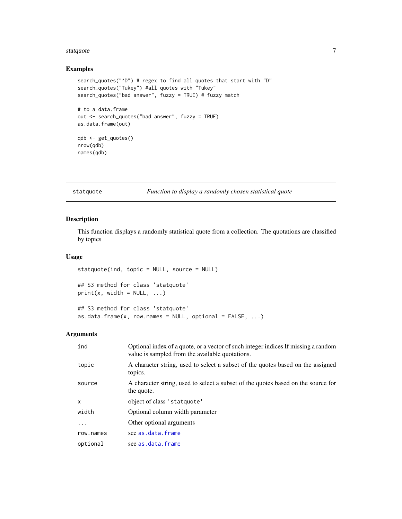#### <span id="page-6-0"></span>statquote 7 a.C. 2006 a.C. 2006 a.C. 2006 a.C. 2006 a.C. 2006 a.C. 2006 a.C. 2006 a.C. 2006 a.C. 2006 a.C. 200

#### Examples

```
search_quotes("^D") # regex to find all quotes that start with "D"
search_quotes("Tukey") #all quotes with "Tukey"
search_quotes("bad answer", fuzzy = TRUE) # fuzzy match
# to a data.frame
out <- search_quotes("bad answer", fuzzy = TRUE)
as.data.frame(out)
qdb <- get_quotes()
nrow(qdb)
names(qdb)
```
#### <span id="page-6-1"></span>statquote *Function to display a randomly chosen statistical quote*

#### Description

This function displays a randomly statistical quote from a collection. The quotations are classified by topics

#### Usage

```
statquote(ind, topic = NULL, source = NULL)
## S3 method for class 'statquote'
print(x, width = NULL, ...)## S3 method for class 'statquote'
as.data.frame(x, row.names = NULL, optional = FALSE, ...)
```
#### Arguments

| ind          | Optional index of a quote, or a vector of such integer indices If missing a random<br>value is sampled from the available quotations. |
|--------------|---------------------------------------------------------------------------------------------------------------------------------------|
| topic        | A character string, used to select a subset of the quotes based on the assigned<br>topics.                                            |
| source       | A character string, used to select a subset of the quotes based on the source for<br>the quote.                                       |
| $\mathsf{x}$ | object of class 'statquote'                                                                                                           |
| width        | Optional column width parameter                                                                                                       |
| .            | Other optional arguments                                                                                                              |
| row.names    | see as.data.frame                                                                                                                     |
| optional     | see as data frame                                                                                                                     |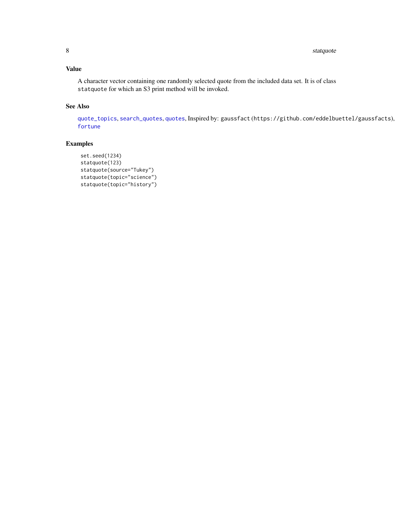#### <span id="page-7-0"></span>Value

A character vector containing one randomly selected quote from the included data set. It is of class statquote for which an S3 print method will be invoked.

#### See Also

[quote\\_topics](#page-4-1), [search\\_quotes](#page-5-1), [quotes](#page-3-1), Inspired by: gaussfact (https://github.com/eddelbuettel/gaussfacts), [fortune](#page-0-0)

#### Examples

```
set.seed(1234)
statquote(123)
statquote(source="Tukey")
statquote(topic="science")
statquote(topic="history")
```